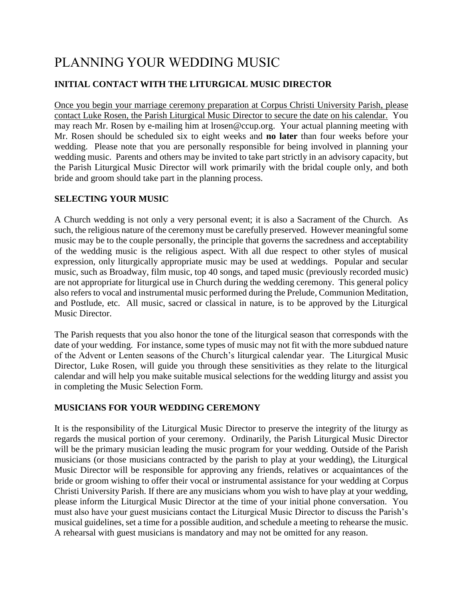# PLANNING YOUR WEDDING MUSIC

## **INITIAL CONTACT WITH THE LITURGICAL MUSIC DIRECTOR**

Once you begin your marriage ceremony preparation at Corpus Christi University Parish, please contact Luke Rosen, the Parish Liturgical Music Director to secure the date on his calendar. You may reach Mr. Rosen by e-mailing him at lrosen@ccup.org. Your actual planning meeting with Mr. Rosen should be scheduled six to eight weeks and **no later** than four weeks before your wedding. Please note that you are personally responsible for being involved in planning your wedding music. Parents and others may be invited to take part strictly in an advisory capacity, but the Parish Liturgical Music Director will work primarily with the bridal couple only, and both bride and groom should take part in the planning process.

### **SELECTING YOUR MUSIC**

A Church wedding is not only a very personal event; it is also a Sacrament of the Church. As such, the religious nature of the ceremony must be carefully preserved. However meaningful some music may be to the couple personally, the principle that governs the sacredness and acceptability of the wedding music is the religious aspect. With all due respect to other styles of musical expression, only liturgically appropriate music may be used at weddings. Popular and secular music, such as Broadway, film music, top 40 songs, and taped music (previously recorded music) are not appropriate for liturgical use in Church during the wedding ceremony. This general policy also refers to vocal and instrumental music performed during the Prelude, Communion Meditation, and Postlude, etc. All music, sacred or classical in nature, is to be approved by the Liturgical Music Director.

The Parish requests that you also honor the tone of the liturgical season that corresponds with the date of your wedding. For instance, some types of music may not fit with the more subdued nature of the Advent or Lenten seasons of the Church's liturgical calendar year. The Liturgical Music Director, Luke Rosen, will guide you through these sensitivities as they relate to the liturgical calendar and will help you make suitable musical selections for the wedding liturgy and assist you in completing the Music Selection Form.

## **MUSICIANS FOR YOUR WEDDING CEREMONY**

It is the responsibility of the Liturgical Music Director to preserve the integrity of the liturgy as regards the musical portion of your ceremony. Ordinarily, the Parish Liturgical Music Director will be the primary musician leading the music program for your wedding. Outside of the Parish musicians (or those musicians contracted by the parish to play at your wedding), the Liturgical Music Director will be responsible for approving any friends, relatives or acquaintances of the bride or groom wishing to offer their vocal or instrumental assistance for your wedding at Corpus Christi University Parish. If there are any musicians whom you wish to have play at your wedding, please inform the Liturgical Music Director at the time of your initial phone conversation. You must also have your guest musicians contact the Liturgical Music Director to discuss the Parish's musical guidelines, set a time for a possible audition, and schedule a meeting to rehearse the music. A rehearsal with guest musicians is mandatory and may not be omitted for any reason.